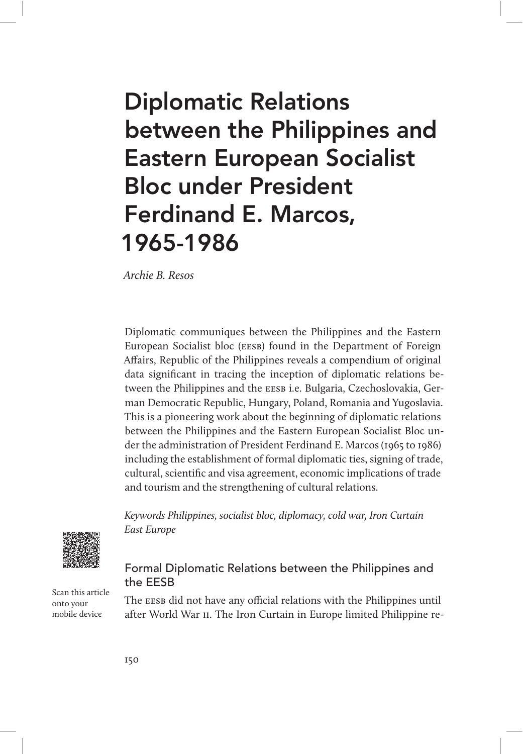# Diplomatic Relations between the Philippines and Eastern European Socialist Bloc under President Ferdinand E. Marcos, 1965-1986

Archie B. Resos

Diplomatic communiques between the Philippines and the Eastern European Socialist bloc (eesb) found in the Department of Foreign Affairs, Republic of the Philippines reveals a compendium of original data significant in tracing the inception of diplomatic relations between the Philippines and the eesb i.e. Bulgaria, Czechoslovakia, German Democratic Republic, Hungary, Poland, Romania and Yugoslavia. This is a pioneering work about the beginning of diplomatic relations between the Philippines and the Eastern European Socialist Bloc under the administration of President Ferdinand E. Marcos (1965 to 1986) including the establishment of formal diplomatic ties, signing of trade, cultural, scientific and visa agreement, economic implications of trade and tourism and the strengthening of cultural relations.

Keywords Philippines, socialist bloc, diplomacy, cold war, Iron Curtain East Europe



Scan this article onto your mobile device

# Formal Diplomatic Relations between the Philippines and the EESB

The EESB did not have any official relations with the Philippines until after World War ii. The Iron Curtain in Europe limited Philippine re-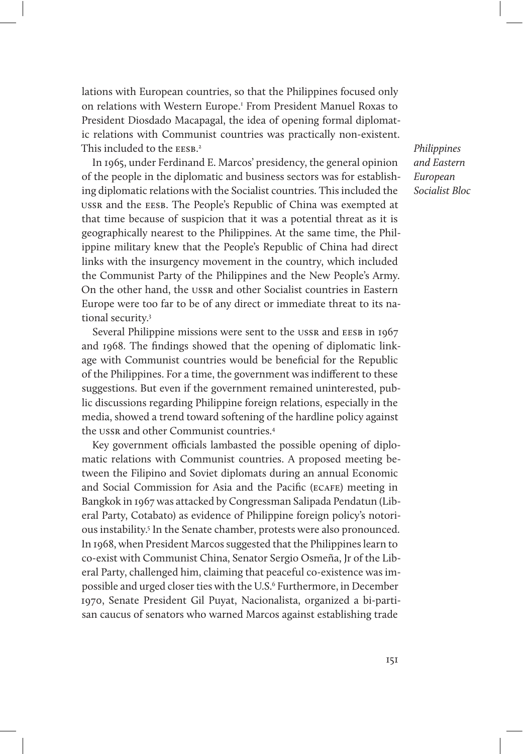lations with European countries, so that the Philippines focused only on relations with Western Europe.<sup>1</sup> From President Manuel Roxas to President Diosdado Macapagal, the idea of opening formal diplomatic relations with Communist countries was practically non-existent. This included to the EESB.<sup>2</sup>

In 1965, under Ferdinand E. Marcos' presidency, the general opinion of the people in the diplomatic and business sectors was for establishing diplomatic relations with the Socialist countries. This included the ussr and the eesb. The People's Republic of China was exempted at that time because of suspicion that it was a potential threat as it is geographically nearest to the Philippines. At the same time, the Philippine military knew that the People's Republic of China had direct links with the insurgency movement in the country, which included the Communist Party of the Philippines and the New People's Army. On the other hand, the ussr and other Socialist countries in Eastern Europe were too far to be of any direct or immediate threat to its national security.3

Several Philippine missions were sent to the USSR and EESB in 1967 and 1968. The findings showed that the opening of diplomatic linkage with Communist countries would be beneficial for the Republic of the Philippines. For a time, the government was indifferent to these suggestions. But even if the government remained uninterested, public discussions regarding Philippine foreign relations, especially in the media, showed a trend toward softening of the hardline policy against the ussr and other Communist countries.<sup>4</sup>

Key government officials lambasted the possible opening of diplomatic relations with Communist countries. A proposed meeting between the Filipino and Soviet diplomats during an annual Economic and Social Commission for Asia and the Pacific (ecafe) meeting in Bangkok in 1967 was attacked by Congressman Salipada Pendatun (Liberal Party, Cotabato) as evidence of Philippine foreign policy's notorious instability.<sup>5</sup> In the Senate chamber, protests were also pronounced. In 1968, when President Marcos suggested that the Philippines learn to co-exist with Communist China, Senator Sergio Osmeña, Jr of the Liberal Party, challenged him, claiming that peaceful co-existence was impossible and urged closer ties with the U.S.<sup>6</sup> Furthermore, in December 1970, Senate President Gil Puyat, Nacionalista, organized a bi-partisan caucus of senators who warned Marcos against establishing trade

Philippines and Eastern European Socialist Bloc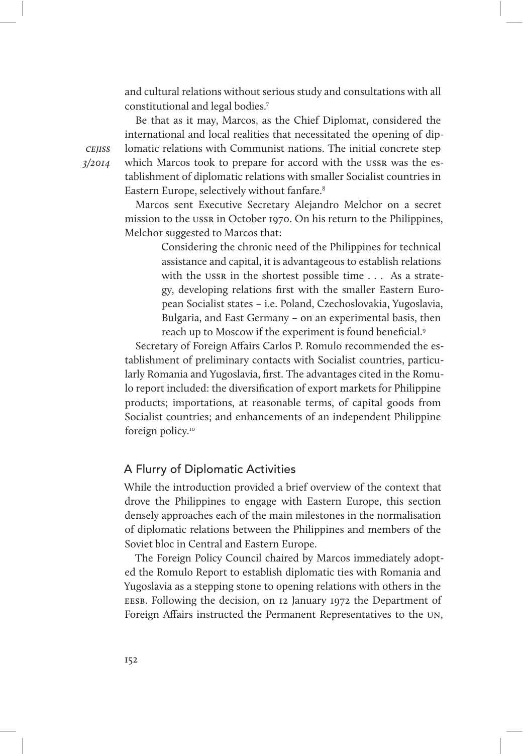and cultural relations without serious study and consultations with all constitutional and legal bodies.7

Be that as it may, Marcos, as the Chief Diplomat, considered the international and local realities that necessitated the opening of diplomatic relations with Communist nations. The initial concrete step which Marcos took to prepare for accord with the ussn was the establishment of diplomatic relations with smaller Socialist countries in Eastern Europe, selectively without fanfare.<sup>8</sup>

Marcos sent Executive Secretary Alejandro Melchor on a secret mission to the ussr in October 1970. On his return to the Philippines, Melchor suggested to Marcos that:

> Considering the chronic need of the Philippines for technical assistance and capital, it is advantageous to establish relations with the ussr in the shortest possible time . . . As a strategy, developing relations first with the smaller Eastern European Socialist states – i.e. Poland, Czechoslovakia, Yugoslavia, Bulgaria, and East Germany – on an experimental basis, then reach up to Moscow if the experiment is found beneficial.<sup>9</sup>

Secretary of Foreign Affairs Carlos P. Romulo recommended the establishment of preliminary contacts with Socialist countries, particularly Romania and Yugoslavia, first. The advantages cited in the Romulo report included: the diversification of export markets for Philippine products; importations, at reasonable terms, of capital goods from Socialist countries; and enhancements of an independent Philippine foreign policy.<sup>10</sup>

## A Flurry of Diplomatic Activities

While the introduction provided a brief overview of the context that drove the Philippines to engage with Eastern Europe, this section densely approaches each of the main milestones in the normalisation of diplomatic relations between the Philippines and members of the Soviet bloc in Central and Eastern Europe.

The Foreign Policy Council chaired by Marcos immediately adopted the Romulo Report to establish diplomatic ties with Romania and Yugoslavia as a stepping stone to opening relations with others in the eesb. Following the decision, on 12 January 1972 the Department of Foreign Affairs instructed the Permanent Representatives to the un,

**CEIISS** 3/2014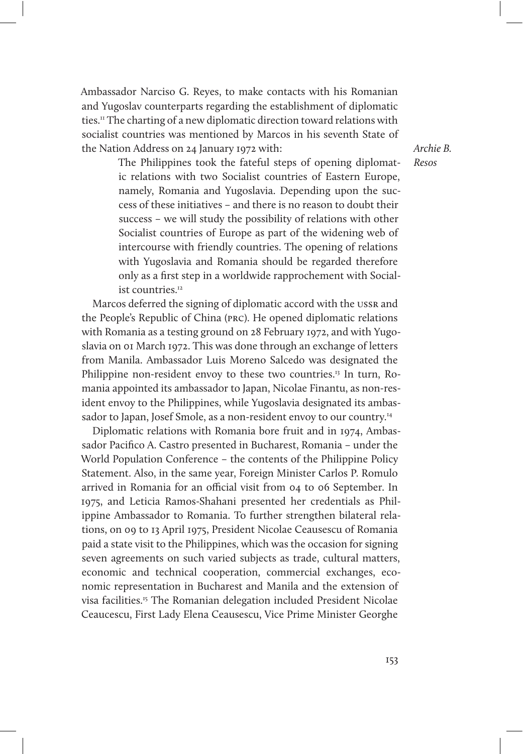Ambassador Narciso G. Reyes, to make contacts with his Romanian and Yugoslav counterparts regarding the establishment of diplomatic ties.11 The charting of a new diplomatic direction toward relations with socialist countries was mentioned by Marcos in his seventh State of the Nation Address on 24 January 1972 with:

Archie B. Resos

The Philippines took the fateful steps of opening diplomatic relations with two Socialist countries of Eastern Europe, namely, Romania and Yugoslavia. Depending upon the success of these initiatives – and there is no reason to doubt their success – we will study the possibility of relations with other Socialist countries of Europe as part of the widening web of intercourse with friendly countries. The opening of relations with Yugoslavia and Romania should be regarded therefore only as a first step in a worldwide rapprochement with Socialist countries.<sup>12</sup>

Marcos deferred the signing of diplomatic accord with the ussr and the People's Republic of China (prc). He opened diplomatic relations with Romania as a testing ground on 28 February 1972, and with Yugoslavia on 01 March 1972. This was done through an exchange of letters from Manila. Ambassador Luis Moreno Salcedo was designated the Philippine non-resident envoy to these two countries.<sup>13</sup> In turn, Romania appointed its ambassador to Japan, Nicolae Finantu, as non-resident envoy to the Philippines, while Yugoslavia designated its ambassador to Japan, Josef Smole, as a non-resident envoy to our country.<sup>14</sup>

Diplomatic relations with Romania bore fruit and in 1974, Ambassador Pacifico A. Castro presented in Bucharest, Romania – under the World Population Conference – the contents of the Philippine Policy Statement. Also, in the same year, Foreign Minister Carlos P. Romulo arrived in Romania for an official visit from 04 to 06 September. In 1975, and Leticia Ramos-Shahani presented her credentials as Philippine Ambassador to Romania. To further strengthen bilateral relations, on 09 to 13 April 1975, President Nicolae Ceausescu of Romania paid a state visit to the Philippines, which was the occasion for signing seven agreements on such varied subjects as trade, cultural matters, economic and technical cooperation, commercial exchanges, economic representation in Bucharest and Manila and the extension of visa facilities.15 The Romanian delegation included President Nicolae Ceaucescu, First Lady Elena Ceausescu, Vice Prime Minister Georghe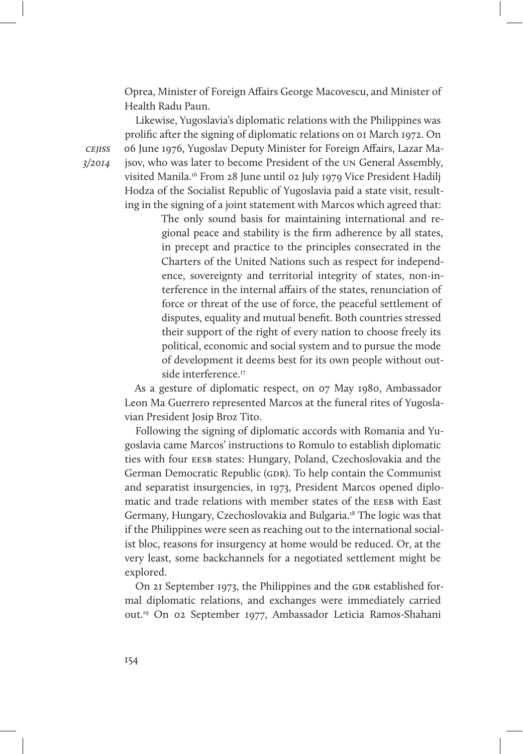Oprea, Minister of Foreign Affairs George Macovescu, and Minister of Health Radu Paun.

Likewise, Yugoslavia's diplomatic relations with the Philippines was prolific after the signing of diplomatic relations on 01 March 1972. On 06 June 1976, Yugoslav Deputy Minister for Foreign Affairs, Lazar Majsov, who was later to become President of the un General Assembly, visited Manila.16 From 28 June until 02 July 1979 Vice President Hadilj Hodza of the Socialist Republic of Yugoslavia paid a state visit, resulting in the signing of a joint statement with Marcos which agreed that:

> The only sound basis for maintaining international and regional peace and stability is the firm adherence by all states, in precept and practice to the principles consecrated in the Charters of the United Nations such as respect for independence, sovereignty and territorial integrity of states, non-interference in the internal affairs of the states, renunciation of force or threat of the use of force, the peaceful settlement of disputes, equality and mutual benefit. Both countries stressed their support of the right of every nation to choose freely its political, economic and social system and to pursue the mode of development it deems best for its own people without outside interference.<sup>17</sup>

As a gesture of diplomatic respect, on 07 May 1980, Ambassador Leon Ma Guerrero represented Marcos at the funeral rites of Yugoslavian President Josip Broz Tito.

Following the signing of diplomatic accords with Romania and Yugoslavia came Marcos' instructions to Romulo to establish diplomatic ties with four EESB states: Hungary, Poland, Czechoslovakia and the German Democratic Republic (GDR). To help contain the Communist and separatist insurgencies, in 1973, President Marcos opened diplomatic and trade relations with member states of the EESB with East Germany, Hungary, Czechoslovakia and Bulgaria.18 The logic was that if the Philippines were seen as reaching out to the international socialist bloc, reasons for insurgency at home would be reduced. Or, at the very least, some backchannels for a negotiated settlement might be explored.

On 21 September 1973, the Philippines and the GDR established formal diplomatic relations, and exchanges were immediately carried out.19 On 02 September 1977, Ambassador Leticia Ramos-Shahani

**CEIISS** 3/2014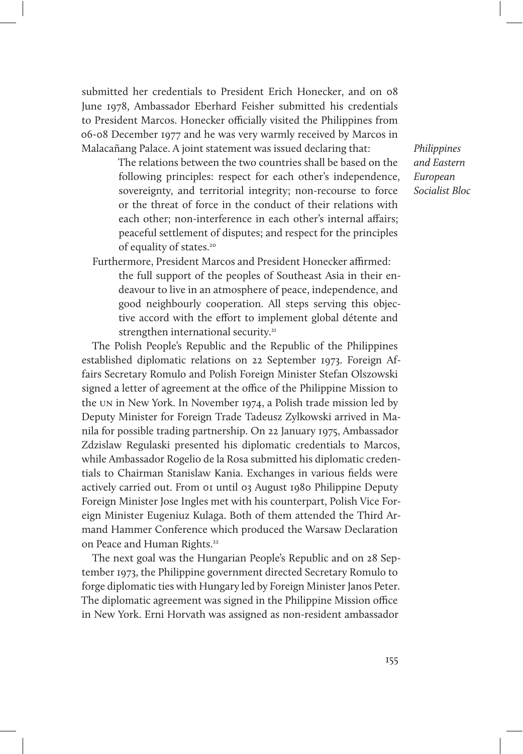submitted her credentials to President Erich Honecker, and on 08 June 1978, Ambassador Eberhard Feisher submitted his credentials to President Marcos. Honecker officially visited the Philippines from 06-08 December 1977 and he was very warmly received by Marcos in Malacañang Palace. A joint statement was issued declaring that:

> The relations between the two countries shall be based on the following principles: respect for each other's independence, sovereignty, and territorial integrity; non-recourse to force or the threat of force in the conduct of their relations with each other; non-interference in each other's internal affairs; peaceful settlement of disputes; and respect for the principles of equality of states.<sup>20</sup>

Furthermore, President Marcos and President Honecker affirmed: the full support of the peoples of Southeast Asia in their endeavour to live in an atmosphere of peace, independence, and good neighbourly cooperation. All steps serving this objective accord with the effort to implement global détente and strengthen international security.<sup>21</sup>

The Polish People's Republic and the Republic of the Philippines established diplomatic relations on 22 September 1973. Foreign Affairs Secretary Romulo and Polish Foreign Minister Stefan Olszowski signed a letter of agreement at the office of the Philippine Mission to the un in New York. In November 1974, a Polish trade mission led by Deputy Minister for Foreign Trade Tadeusz Zylkowski arrived in Manila for possible trading partnership. On 22 January 1975, Ambassador Zdzislaw Regulaski presented his diplomatic credentials to Marcos, while Ambassador Rogelio de la Rosa submitted his diplomatic credentials to Chairman Stanislaw Kania. Exchanges in various fields were actively carried out. From 01 until 03 August 1980 Philippine Deputy Foreign Minister Jose Ingles met with his counterpart, Polish Vice Foreign Minister Eugeniuz Kulaga. Both of them attended the Third Armand Hammer Conference which produced the Warsaw Declaration on Peace and Human Rights.<sup>22</sup>

The next goal was the Hungarian People's Republic and on 28 September 1973, the Philippine government directed Secretary Romulo to forge diplomatic ties with Hungary led by Foreign Minister Janos Peter. The diplomatic agreement was signed in the Philippine Mission office in New York. Erni Horvath was assigned as non-resident ambassador

Philippines and Eastern European Socialist Bloc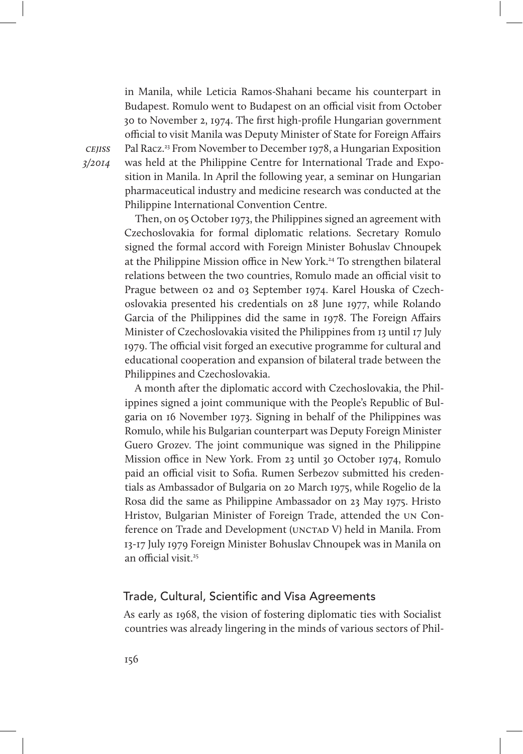in Manila, while Leticia Ramos-Shahani became his counterpart in Budapest. Romulo went to Budapest on an official visit from October 30 to November 2, 1974. The first high-profile Hungarian government official to visit Manila was Deputy Minister of State for Foreign Affairs Pal Racz.<sup>23</sup> From November to December 1978, a Hungarian Exposition was held at the Philippine Centre for International Trade and Exposition in Manila. In April the following year, a seminar on Hungarian pharmaceutical industry and medicine research was conducted at the Philippine International Convention Centre.

Then, on 05 October 1973, the Philippines signed an agreement with Czechoslovakia for formal diplomatic relations. Secretary Romulo signed the formal accord with Foreign Minister Bohuslav Chnoupek at the Philippine Mission office in New York.<sup>24</sup> To strengthen bilateral relations between the two countries, Romulo made an official visit to Prague between 02 and 03 September 1974. Karel Houska of Czechoslovakia presented his credentials on 28 June 1977, while Rolando Garcia of the Philippines did the same in 1978. The Foreign Affairs Minister of Czechoslovakia visited the Philippines from 13 until 17 July 1979. The official visit forged an executive programme for cultural and educational cooperation and expansion of bilateral trade between the Philippines and Czechoslovakia.

A month after the diplomatic accord with Czechoslovakia, the Philippines signed a joint communique with the People's Republic of Bulgaria on 16 November 1973. Signing in behalf of the Philippines was Romulo, while his Bulgarian counterpart was Deputy Foreign Minister Guero Grozev. The joint communique was signed in the Philippine Mission office in New York. From 23 until 30 October 1974, Romulo paid an official visit to Sofia. Rumen Serbezov submitted his credentials as Ambassador of Bulgaria on 20 March 1975, while Rogelio de la Rosa did the same as Philippine Ambassador on 23 May 1975. Hristo Hristov, Bulgarian Minister of Foreign Trade, attended the un Conference on Trade and Development (UNCTAD V) held in Manila. From 13-17 July 1979 Foreign Minister Bohuslav Chnoupek was in Manila on an official visit. $25$ 

## Trade, Cultural, Scientific and Visa Agreements

As early as 1968, the vision of fostering diplomatic ties with Socialist countries was already lingering in the minds of various sectors of Phil-

cejiss 3/2014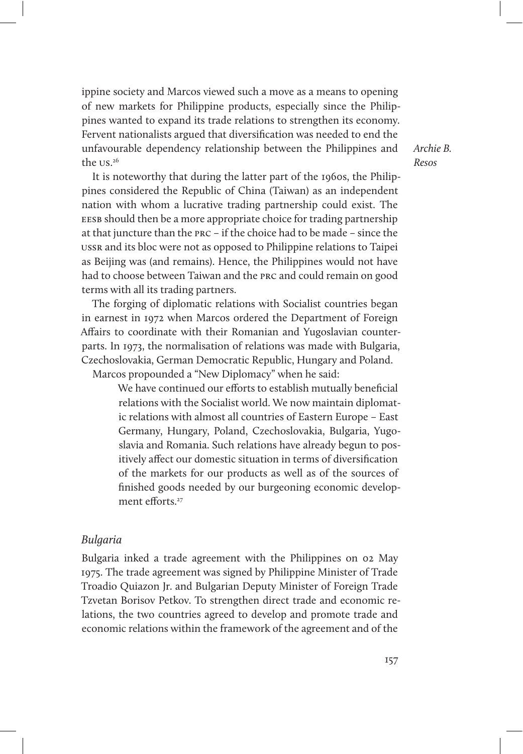ippine society and Marcos viewed such a move as a means to opening of new markets for Philippine products, especially since the Philippines wanted to expand its trade relations to strengthen its economy. Fervent nationalists argued that diversification was needed to end the unfavourable dependency relationship between the Philippines and the us. 26

It is noteworthy that during the latter part of the 1960s, the Philippines considered the Republic of China (Taiwan) as an independent nation with whom a lucrative trading partnership could exist. The EESB should then be a more appropriate choice for trading partnership at that juncture than the prc – if the choice had to be made – since the ussr and its bloc were not as opposed to Philippine relations to Taipei as Beijing was (and remains). Hence, the Philippines would not have had to choose between Taiwan and the prc and could remain on good terms with all its trading partners.

The forging of diplomatic relations with Socialist countries began in earnest in 1972 when Marcos ordered the Department of Foreign Affairs to coordinate with their Romanian and Yugoslavian counterparts. In 1973, the normalisation of relations was made with Bulgaria, Czechoslovakia, German Democratic Republic, Hungary and Poland. Marcos propounded a "New Diplomacy" when he said:

We have continued our efforts to establish mutually beneficial

relations with the Socialist world. We now maintain diplomatic relations with almost all countries of Eastern Europe – East Germany, Hungary, Poland, Czechoslovakia, Bulgaria, Yugoslavia and Romania. Such relations have already begun to positively affect our domestic situation in terms of diversification of the markets for our products as well as of the sources of finished goods needed by our burgeoning economic development efforts<sup>27</sup>

#### Bulgaria

Bulgaria inked a trade agreement with the Philippines on 02 May 1975. The trade agreement was signed by Philippine Minister of Trade Troadio Quiazon Jr. and Bulgarian Deputy Minister of Foreign Trade Tzvetan Borisov Petkov. To strengthen direct trade and economic relations, the two countries agreed to develop and promote trade and economic relations within the framework of the agreement and of the

Archie B. Resos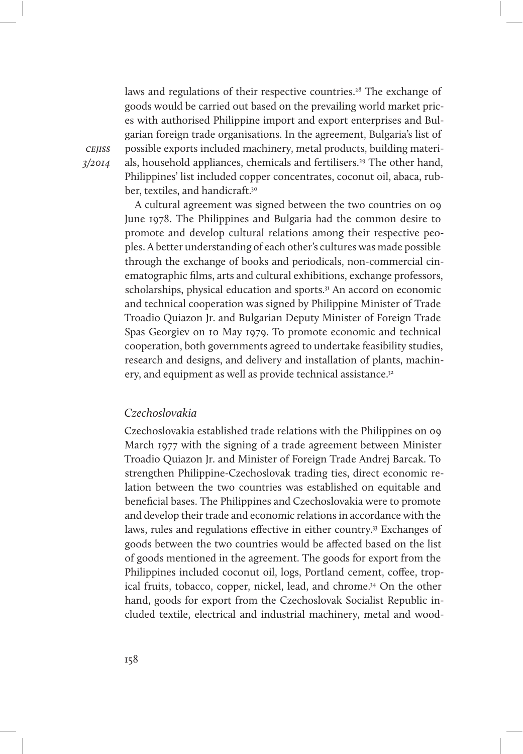laws and regulations of their respective countries.<sup>28</sup> The exchange of goods would be carried out based on the prevailing world market prices with authorised Philippine import and export enterprises and Bulgarian foreign trade organisations. In the agreement, Bulgaria's list of possible exports included machinery, metal products, building materials, household appliances, chemicals and fertilisers.<sup>29</sup> The other hand, Philippines' list included copper concentrates, coconut oil, abaca, rubber, textiles, and handicraft.<sup>30</sup>

A cultural agreement was signed between the two countries on 09 June 1978. The Philippines and Bulgaria had the common desire to promote and develop cultural relations among their respective peoples. A better understanding of each other's cultures was made possible through the exchange of books and periodicals, non-commercial cinematographic films, arts and cultural exhibitions, exchange professors, scholarships, physical education and sports.<sup>31</sup> An accord on economic and technical cooperation was signed by Philippine Minister of Trade Troadio Quiazon Jr. and Bulgarian Deputy Minister of Foreign Trade Spas Georgiev on 10 May 1979. To promote economic and technical cooperation, both governments agreed to undertake feasibility studies, research and designs, and delivery and installation of plants, machinery, and equipment as well as provide technical assistance.<sup>32</sup>

## Czechoslovakia

Czechoslovakia established trade relations with the Philippines on 09 March 1977 with the signing of a trade agreement between Minister Troadio Quiazon Jr. and Minister of Foreign Trade Andrej Barcak. To strengthen Philippine-Czechoslovak trading ties, direct economic relation between the two countries was established on equitable and beneficial bases. The Philippines and Czechoslovakia were to promote and develop their trade and economic relations in accordance with the laws, rules and regulations effective in either country.<sup>33</sup> Exchanges of goods between the two countries would be affected based on the list of goods mentioned in the agreement. The goods for export from the Philippines included coconut oil, logs, Portland cement, coffee, tropical fruits, tobacco, copper, nickel, lead, and chrome.<sup>34</sup> On the other hand, goods for export from the Czechoslovak Socialist Republic included textile, electrical and industrial machinery, metal and wood-

**CEIISS** 3/2014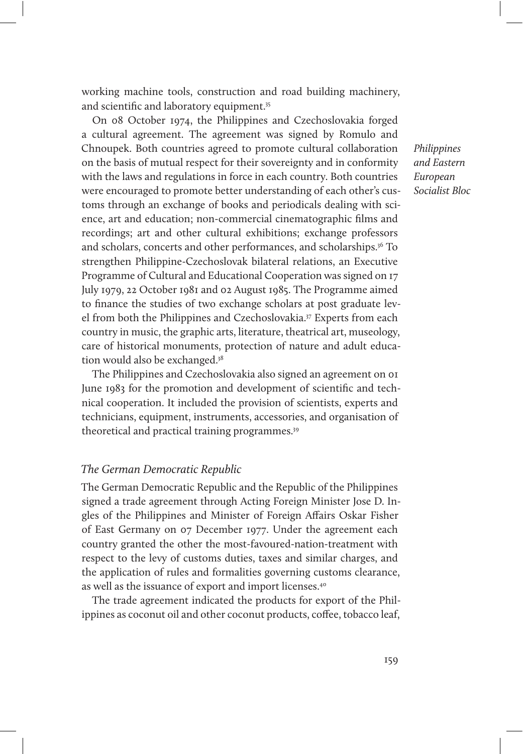working machine tools, construction and road building machinery, and scientific and laboratory equipment.<sup>35</sup>

On 08 October 1974, the Philippines and Czechoslovakia forged a cultural agreement. The agreement was signed by Romulo and Chnoupek. Both countries agreed to promote cultural collaboration on the basis of mutual respect for their sovereignty and in conformity with the laws and regulations in force in each country. Both countries were encouraged to promote better understanding of each other's customs through an exchange of books and periodicals dealing with science, art and education; non-commercial cinematographic films and recordings; art and other cultural exhibitions; exchange professors and scholars, concerts and other performances, and scholarships.36 To strengthen Philippine-Czechoslovak bilateral relations, an Executive Programme of Cultural and Educational Cooperation was signed on 17 July 1979, 22 October 1981 and 02 August 1985. The Programme aimed to finance the studies of two exchange scholars at post graduate level from both the Philippines and Czechoslovakia.37 Experts from each country in music, the graphic arts, literature, theatrical art, museology, care of historical monuments, protection of nature and adult education would also be exchanged.<sup>38</sup>

The Philippines and Czechoslovakia also signed an agreement on 01 June 1983 for the promotion and development of scientific and technical cooperation. It included the provision of scientists, experts and technicians, equipment, instruments, accessories, and organisation of theoretical and practical training programmes.<sup>39</sup>

#### The German Democratic Republic

The German Democratic Republic and the Republic of the Philippines signed a trade agreement through Acting Foreign Minister Jose D. Ingles of the Philippines and Minister of Foreign Affairs Oskar Fisher of East Germany on 07 December 1977. Under the agreement each country granted the other the most-favoured-nation-treatment with respect to the levy of customs duties, taxes and similar charges, and the application of rules and formalities governing customs clearance, as well as the issuance of export and import licenses.40

The trade agreement indicated the products for export of the Philippines as coconut oil and other coconut products, coffee, tobacco leaf,

Philippines and Eastern European Socialist Bloc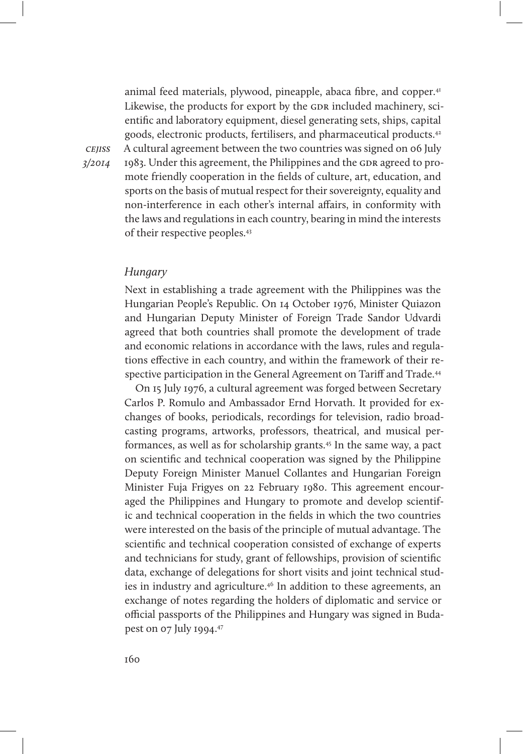animal feed materials, plywood, pineapple, abaca fibre, and copper.<sup>41</sup> Likewise, the products for export by the GDR included machinery, scientific and laboratory equipment, diesel generating sets, ships, capital goods, electronic products, fertilisers, and pharmaceutical products.42 A cultural agreement between the two countries was signed on 06 July 1983. Under this agreement, the Philippines and the GDR agreed to promote friendly cooperation in the fields of culture, art, education, and sports on the basis of mutual respect for their sovereignty, equality and non-interference in each other's internal affairs, in conformity with the laws and regulations in each country, bearing in mind the interests of their respective peoples.43

#### **Hungary**

**CEIISS** 3/2014

> Next in establishing a trade agreement with the Philippines was the Hungarian People's Republic. On 14 October 1976, Minister Quiazon and Hungarian Deputy Minister of Foreign Trade Sandor Udvardi agreed that both countries shall promote the development of trade and economic relations in accordance with the laws, rules and regulations effective in each country, and within the framework of their respective participation in the General Agreement on Tariff and Trade.<sup>44</sup>

> On 15 July 1976, a cultural agreement was forged between Secretary Carlos P. Romulo and Ambassador Ernd Horvath. It provided for exchanges of books, periodicals, recordings for television, radio broadcasting programs, artworks, professors, theatrical, and musical performances, as well as for scholarship grants.45 In the same way, a pact on scientific and technical cooperation was signed by the Philippine Deputy Foreign Minister Manuel Collantes and Hungarian Foreign Minister Fuja Frigyes on 22 February 1980. This agreement encouraged the Philippines and Hungary to promote and develop scientific and technical cooperation in the fields in which the two countries were interested on the basis of the principle of mutual advantage. The scientific and technical cooperation consisted of exchange of experts and technicians for study, grant of fellowships, provision of scientific data, exchange of delegations for short visits and joint technical studies in industry and agriculture.46 In addition to these agreements, an exchange of notes regarding the holders of diplomatic and service or official passports of the Philippines and Hungary was signed in Budapest on 07 July 1994.47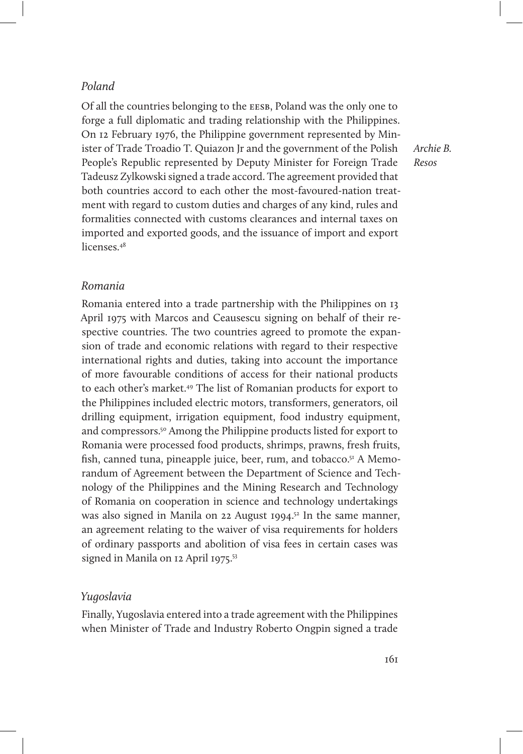### Poland

Of all the countries belonging to the eesb, Poland was the only one to forge a full diplomatic and trading relationship with the Philippines. On 12 February 1976, the Philippine government represented by Minister of Trade Troadio T. Quiazon Jr and the government of the Polish People's Republic represented by Deputy Minister for Foreign Trade Tadeusz Zylkowski signed a trade accord. The agreement provided that both countries accord to each other the most-favoured-nation treatment with regard to custom duties and charges of any kind, rules and formalities connected with customs clearances and internal taxes on imported and exported goods, and the issuance of import and export licenses<sup>48</sup>

Archie B. Resos

## Romania

Romania entered into a trade partnership with the Philippines on 13 April 1975 with Marcos and Ceausescu signing on behalf of their respective countries. The two countries agreed to promote the expansion of trade and economic relations with regard to their respective international rights and duties, taking into account the importance of more favourable conditions of access for their national products to each other's market.49 The list of Romanian products for export to the Philippines included electric motors, transformers, generators, oil drilling equipment, irrigation equipment, food industry equipment, and compressors.<sup>50</sup> Among the Philippine products listed for export to Romania were processed food products, shrimps, prawns, fresh fruits, fish, canned tuna, pineapple juice, beer, rum, and tobacco.<sup>51</sup> A Memorandum of Agreement between the Department of Science and Technology of the Philippines and the Mining Research and Technology of Romania on cooperation in science and technology undertakings was also signed in Manila on 22 August 1994.<sup>52</sup> In the same manner, an agreement relating to the waiver of visa requirements for holders of ordinary passports and abolition of visa fees in certain cases was signed in Manila on 12 April 1975.<sup>53</sup>

### Yugoslavia

Finally, Yugoslavia entered into a trade agreement with the Philippines when Minister of Trade and Industry Roberto Ongpin signed a trade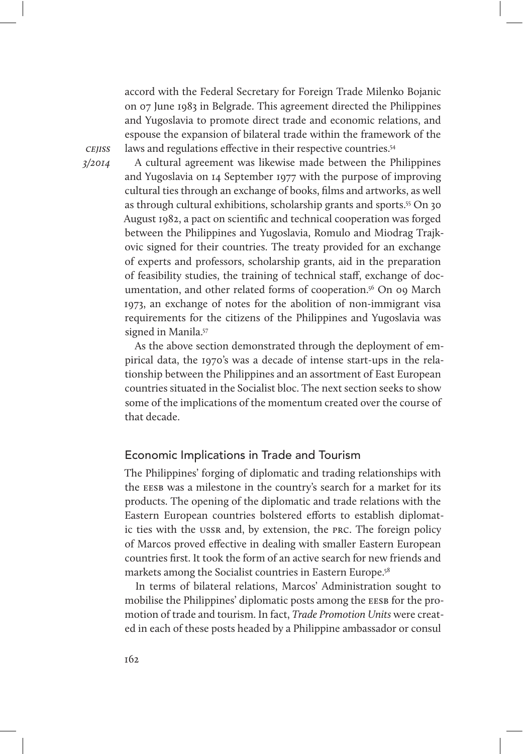accord with the Federal Secretary for Foreign Trade Milenko Bojanic on 07 June 1983 in Belgrade. This agreement directed the Philippines and Yugoslavia to promote direct trade and economic relations, and espouse the expansion of bilateral trade within the framework of the laws and regulations effective in their respective countries.<sup>54</sup>

**CEIISS** 3/2014

A cultural agreement was likewise made between the Philippines and Yugoslavia on 14 September 1977 with the purpose of improving cultural ties through an exchange of books, films and artworks, as well as through cultural exhibitions, scholarship grants and sports.55 On 30 August 1982, a pact on scientific and technical cooperation was forged between the Philippines and Yugoslavia, Romulo and Miodrag Trajkovic signed for their countries. The treaty provided for an exchange of experts and professors, scholarship grants, aid in the preparation of feasibility studies, the training of technical staff, exchange of documentation, and other related forms of cooperation.<sup>56</sup> On 09 March 1973, an exchange of notes for the abolition of non-immigrant visa requirements for the citizens of the Philippines and Yugoslavia was signed in Manila.<sup>57</sup>

As the above section demonstrated through the deployment of empirical data, the 1970's was a decade of intense start-ups in the relationship between the Philippines and an assortment of East European countries situated in the Socialist bloc. The next section seeks to show some of the implications of the momentum created over the course of that decade.

# Economic Implications in Trade and Tourism

The Philippines' forging of diplomatic and trading relationships with the EESB was a milestone in the country's search for a market for its products. The opening of the diplomatic and trade relations with the Eastern European countries bolstered efforts to establish diplomatic ties with the ussr and, by extension, the prc. The foreign policy of Marcos proved effective in dealing with smaller Eastern European countries first. It took the form of an active search for new friends and markets among the Socialist countries in Eastern Europe.<sup>58</sup>

In terms of bilateral relations, Marcos' Administration sought to mobilise the Philippines' diplomatic posts among the EESB for the promotion of trade and tourism. In fact, Trade Promotion Units were created in each of these posts headed by a Philippine ambassador or consul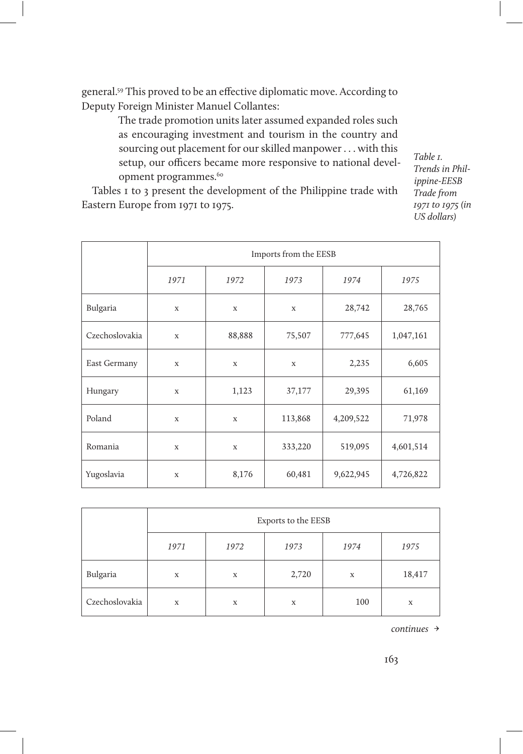general.59 This proved to be an effective diplomatic move. According to Deputy Foreign Minister Manuel Collantes:

> The trade promotion units later assumed expanded roles such as encouraging investment and tourism in the country and sourcing out placement for our skilled manpower . . . with this setup, our officers became more responsive to national development programmes.<sup>60</sup>

Tables 1 to 3 present the development of the Philippine trade with Eastern Europe from 1971 to 1975.

Table 1. Trends in Philippine-EESB Trade from 1971 to 1975 (in US dollars)

|                | Imports from the EESB |             |             |           |           |  |
|----------------|-----------------------|-------------|-------------|-----------|-----------|--|
|                | 1971                  | 1972        | 1973        | 1974      | 1975      |  |
| Bulgaria       | X                     | X           | X           | 28,742    | 28,765    |  |
| Czechoslovakia | $\mathbf x$           | 88,888      | 75,507      | 777,645   | 1,047,161 |  |
| East Germany   | $\mathbf x$           | $\mathbf x$ | $\mathbf x$ | 2,235     | 6,605     |  |
| Hungary        | X                     | 1,123       | 37,177      | 29,395    | 61,169    |  |
| Poland         | $\mathbf x$           | $\mathbf x$ | 113,868     | 4,209,522 | 71,978    |  |
| Romania        | X                     | X           | 333,220     | 519,095   | 4,601,514 |  |
| Yugoslavia     | $\mathbf X$           | 8,176       | 60,481      | 9,622,945 | 4,726,822 |  |

|                | Exports to the EESB |             |       |             |        |  |
|----------------|---------------------|-------------|-------|-------------|--------|--|
|                | 1971                | 1972        | 1973  | 1974        | 1975   |  |
| Bulgaria       | X                   | $\mathbf X$ | 2,720 | $\mathbf X$ | 18,417 |  |
| Czechoslovakia | X                   | $\mathbf X$ | X     | 100         | X      |  |

continues →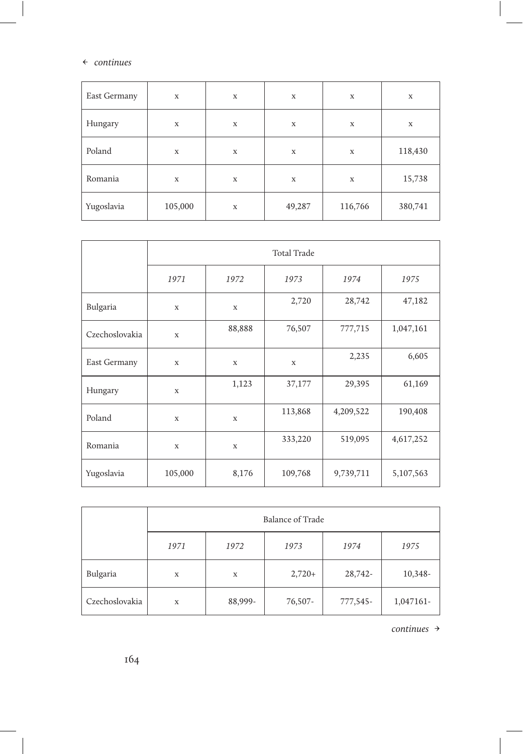#### ← continues

 $\overline{\phantom{a}}$ 

| East Germany | $\mathbf X$ | $\mathbf X$ | $\mathbf X$ | $\mathbf X$ | $\mathbf X$ |
|--------------|-------------|-------------|-------------|-------------|-------------|
| Hungary      | $\mathbf X$ | $\mathbf X$ | $\mathbf X$ | $\mathbf X$ | $\mathbf X$ |
| Poland       | $\mathbf X$ | $\mathbf X$ | $\mathbf X$ | $\mathbf X$ | 118,430     |
| Romania      | $\mathbf X$ | $\mathbf X$ | $\mathbf X$ | $\mathbf X$ | 15,738      |
| Yugoslavia   | 105,000     | $\mathbf X$ | 49,287      | 116,766     | 380,741     |

|                | <b>Total Trade</b> |             |             |           |           |  |
|----------------|--------------------|-------------|-------------|-----------|-----------|--|
|                | 1971               | 1972        | 1973        | 1974      | 1975      |  |
| Bulgaria       | $\mathbf X$        | $\mathbf X$ | 2,720       | 28,742    | 47,182    |  |
| Czechoslovakia | $\mathbf x$        | 88,888      | 76,507      | 777,715   | 1,047,161 |  |
| East Germany   | $\mathbf x$        | $\mathbf X$ | $\mathbf x$ | 2,235     | 6,605     |  |
| Hungary        | $\mathbf X$        | 1,123       | 37,177      | 29,395    | 61,169    |  |
| Poland         | $\mathbf x$        | $\mathbf X$ | 113,868     | 4,209,522 | 190,408   |  |
| Romania        | X                  | X           | 333,220     | 519,095   | 4,617,252 |  |
| Yugoslavia     | 105,000            | 8,176       | 109,768     | 9,739,711 | 5,107,563 |  |

|                | Balance of Trade |         |          |          |           |
|----------------|------------------|---------|----------|----------|-----------|
|                | 1971             | 1972    | 1973     | 1974     | 1975      |
| Bulgaria       | X                | X       | $2,720+$ | 28,742-  | 10,348-   |
| Czechoslovakia | X                | 88,999- | 76,507-  | 777,545- | 1,047161- |

continues →

 $\overline{\phantom{a}}$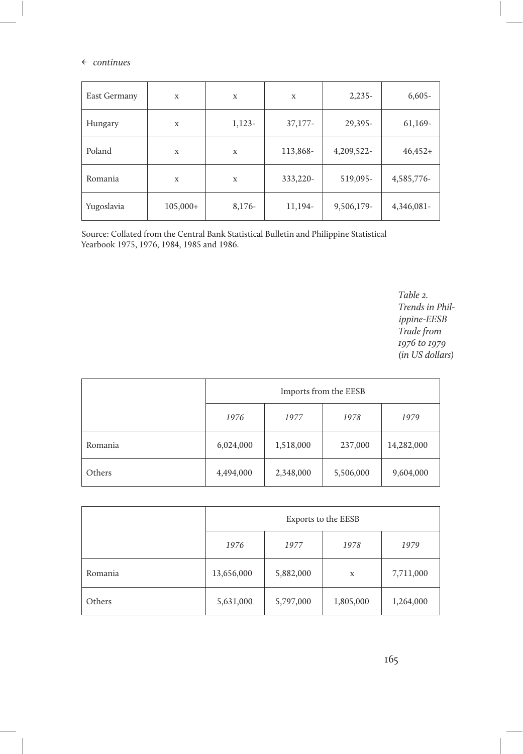#### ← continues

| East Germany | X          | X        | X         | $2,235-$   | $6,605-$   |
|--------------|------------|----------|-----------|------------|------------|
| Hungary      | X          | $1,123-$ | $37,177-$ | 29,395-    | 61,169-    |
| Poland       | X          | X        | 113,868-  | 4,209,522- | $46,452+$  |
| Romania      | X          | X        | 333,220-  | 519,095-   | 4,585,776- |
| Yugoslavia   | $105,000+$ | $8,176-$ | 11,194-   | 9,506,179- | 4,346,081- |

Source: Collated from the Central Bank Statistical Bulletin and Philippine Statistical Yearbook 1975, 1976, 1984, 1985 and 1986.

> Table 2. Trends in Philippine-EESB Trade from 1976 to 1979 (in US dollars)

|         | Imports from the EESB |           |           |            |  |
|---------|-----------------------|-----------|-----------|------------|--|
|         | 1976                  | 1977      | 1978      | 1979       |  |
| Romania | 6,024,000             | 1,518,000 | 237,000   | 14,282,000 |  |
| Others  | 4,494,000             | 2,348,000 | 5,506,000 | 9,604,000  |  |

|         | Exports to the EESB |           |           |           |  |
|---------|---------------------|-----------|-----------|-----------|--|
|         | 1976                | 1977      | 1978      | 1979      |  |
| Romania | 13,656,000          | 5,882,000 | X         | 7,711,000 |  |
| Others  | 5,631,000           | 5,797,000 | 1,805,000 | 1,264,000 |  |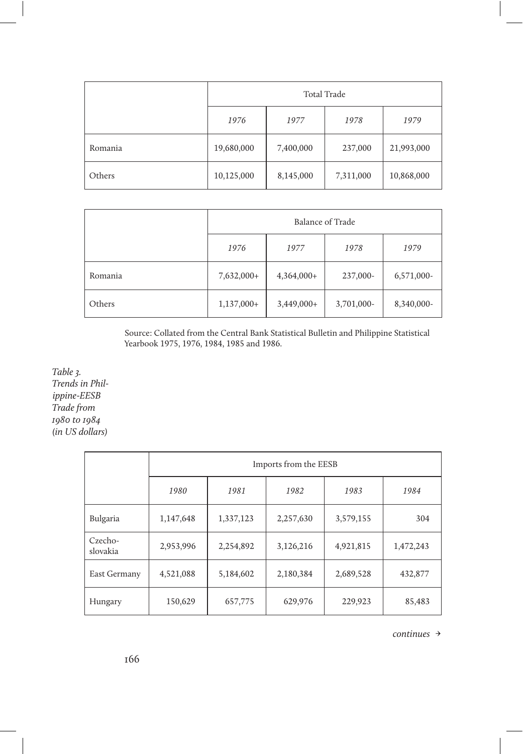|         | Total Trade |           |           |            |  |
|---------|-------------|-----------|-----------|------------|--|
|         | 1976        | 1977      | 1978      | 1979       |  |
| Romania | 19,680,000  | 7,400,000 | 237,000   | 21,993,000 |  |
| Others  | 10,125,000  | 8,145,000 | 7,311,000 | 10,868,000 |  |

|         | Balance of Trade |              |            |            |  |
|---------|------------------|--------------|------------|------------|--|
|         | 1976             | 1977         | 1978       | 1979       |  |
| Romania | 7,632,000+       | $4,364,000+$ | 237,000-   | 6,571,000- |  |
| Others  | $1,137,000+$     | $3,449,000+$ | 3,701,000- | 8,340,000- |  |

Source: Collated from the Central Bank Statistical Bulletin and Philippine Statistical Yearbook 1975, 1976, 1984, 1985 and 1986.

Table 3. Trends in Philippine-EESB Trade from 1980 to 1984 (in US dollars)

|                     |           | Imports from the EESB |           |           |           |  |  |
|---------------------|-----------|-----------------------|-----------|-----------|-----------|--|--|
|                     | 1980      | 1981                  | 1982      | 1983      | 1984      |  |  |
| Bulgaria            | 1,147,648 | 1,337,123             | 2,257,630 | 3,579,155 | 304       |  |  |
| Czecho-<br>slovakia | 2,953,996 | 2,254,892             | 3,126,216 | 4,921,815 | 1,472,243 |  |  |
| East Germany        | 4,521,088 | 5,184,602             | 2,180,384 | 2,689,528 | 432,877   |  |  |
| Hungary             | 150,629   | 657,775               | 629,976   | 229,923   | 85,483    |  |  |

continues →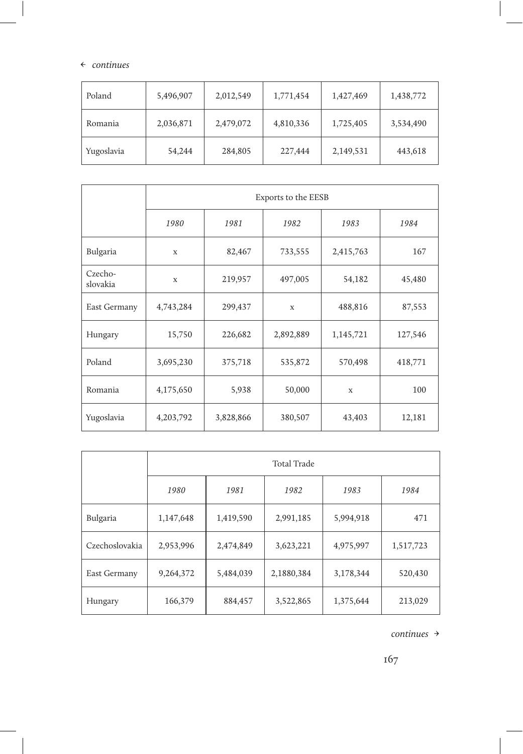#### ← continues

| Poland     | 5,496,907 | 2,012,549 | 1,771,454 | 1,427,469 | 1,438,772 |
|------------|-----------|-----------|-----------|-----------|-----------|
| Romania    | 2,036,871 | 2,479,072 | 4,810,336 | 1,725,405 | 3,534,490 |
| Yugoslavia | 54,244    | 284,805   | 227,444   | 2,149,531 | 443,618   |

|                     | Exports to the EESB |           |             |           |         |  |  |  |  |  |
|---------------------|---------------------|-----------|-------------|-----------|---------|--|--|--|--|--|
|                     | 1980                | 1981      | 1982        | 1983      | 1984    |  |  |  |  |  |
| Bulgaria            | X                   | 82,467    | 733,555     | 2,415,763 | 167     |  |  |  |  |  |
| Czecho-<br>slovakia | X                   | 219,957   | 497,005     | 54,182    | 45,480  |  |  |  |  |  |
| East Germany        | 4,743,284           | 299,437   | $\mathbf x$ | 488,816   | 87,553  |  |  |  |  |  |
| Hungary             | 15,750              | 226,682   | 2,892,889   | 1,145,721 | 127,546 |  |  |  |  |  |
| Poland              | 3,695,230           | 375,718   | 535,872     | 570,498   | 418,771 |  |  |  |  |  |
| Romania             | 4,175,650           | 5,938     | 50,000<br>X |           | 100     |  |  |  |  |  |
| Yugoslavia          | 4,203,792           | 3,828,866 | 380,507     | 43,403    | 12,181  |  |  |  |  |  |

|                | <b>Total Trade</b> |           |            |           |           |  |  |  |  |
|----------------|--------------------|-----------|------------|-----------|-----------|--|--|--|--|
|                | 1980               | 1981      | 1982       | 1983      | 1984      |  |  |  |  |
| Bulgaria       | 1,147,648          | 1,419,590 | 2,991,185  | 5,994,918 | 471       |  |  |  |  |
| Czechoslovakia | 2,953,996          | 2,474,849 | 3,623,221  | 4,975,997 | 1,517,723 |  |  |  |  |
| East Germany   | 9,264,372          | 5,484,039 | 2,1880,384 | 3,178,344 | 520,430   |  |  |  |  |
| Hungary        | 166,379            | 884,457   | 3,522,865  | 1,375,644 | 213,029   |  |  |  |  |

continues →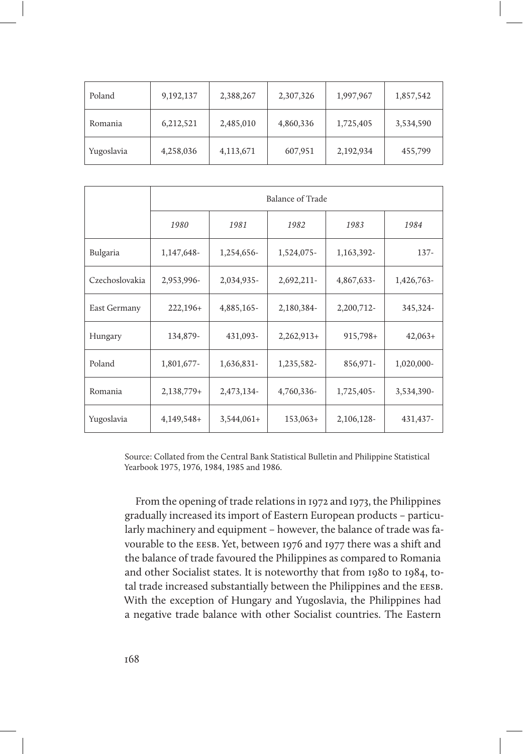| Poland     | 9,192,137 | 2,388,267 | 2,307,326 | 1,997,967 | 1,857,542 |
|------------|-----------|-----------|-----------|-----------|-----------|
| Romania    | 6,212,521 | 2,485,010 | 4,860,336 | 1,725,405 | 3,534,590 |
| Yugoslavia | 4,258,036 | 4,113,671 | 607,951   | 2,192,934 | 455,799   |

|                | <b>Balance of Trade</b> |              |              |            |            |  |  |  |  |  |
|----------------|-------------------------|--------------|--------------|------------|------------|--|--|--|--|--|
|                | 1980                    | 1981         | 1982         | 1983       | 1984       |  |  |  |  |  |
| Bulgaria       | 1,147,648-              | 1,254,656-   | 1,524,075-   | 1,163,392- | $137 -$    |  |  |  |  |  |
| Czechoslovakia | 2,953,996-              | 2,034,935-   | 2,692,211-   | 4,867,633- | 1,426,763- |  |  |  |  |  |
| East Germany   | $222,196+$              | 4,885,165-   | 2,180,384-   | 2,200,712- | 345,324-   |  |  |  |  |  |
| Hungary        | 134,879-                | 431,093-     | $2,262,913+$ | $915,798+$ | $42,063+$  |  |  |  |  |  |
| Poland         | 1,801,677-              | 1,636,831-   | 1,235,582-   | 856,971-   | 1,020,000- |  |  |  |  |  |
| Romania        | $2,138,779+$            | 2,473,134-   | 4,760,336-   | 1,725,405- | 3,534,390- |  |  |  |  |  |
| Yugoslavia     | $4,149,548+$            | $3,544,061+$ | $153,063+$   | 2,106,128- | 431,437-   |  |  |  |  |  |

Source: Collated from the Central Bank Statistical Bulletin and Philippine Statistical Yearbook 1975, 1976, 1984, 1985 and 1986.

From the opening of trade relations in 1972 and 1973, the Philippines gradually increased its import of Eastern European products – particularly machinery and equipment – however, the balance of trade was favourable to the EESB. Yet, between 1976 and 1977 there was a shift and the balance of trade favoured the Philippines as compared to Romania and other Socialist states. It is noteworthy that from 1980 to 1984, total trade increased substantially between the Philippines and the EESB. With the exception of Hungary and Yugoslavia, the Philippines had a negative trade balance with other Socialist countries. The Eastern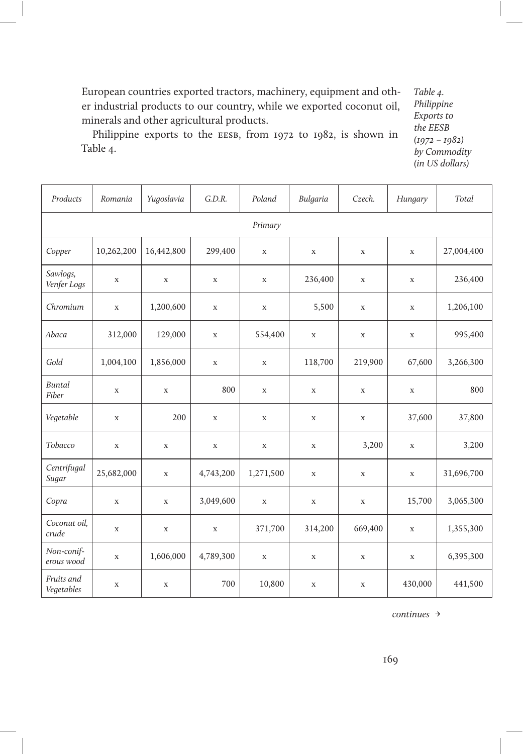European countries exported tractors, machinery, equipment and other industrial products to our country, while we exported coconut oil, minerals and other agricultural products.

Philippine exports to the EESB, from 1972 to 1982, is shown in Table 4.

Table 4. Philippine Exports to the EESB (1972 – 1982) by Commodity (in US dollars)

| Products                 | Romania     | Yugoslavia  | G.D.R.      | Poland      | Bulgaria    | Czech.      | Hungary     | Total      |  |  |  |  |
|--------------------------|-------------|-------------|-------------|-------------|-------------|-------------|-------------|------------|--|--|--|--|
|                          | Primary     |             |             |             |             |             |             |            |  |  |  |  |
| Copper                   | 10,262,200  | 16,442,800  | 299,400     | X           | X           | $\mathbf x$ | X           | 27,004,400 |  |  |  |  |
| Sawlogs,<br>Venfer Logs  | X           | X           | $\mathbf x$ | X           | 236,400     | $\mathbf X$ | X           | 236,400    |  |  |  |  |
| Chromium                 | $\mathbf X$ | 1,200,600   | $\mathbf x$ | X           | 5,500       | X           | X           | 1,206,100  |  |  |  |  |
| Abaca                    | 312,000     | 129,000     | X           | 554,400     | X           | $\mathbf X$ | $\mathbf X$ | 995,400    |  |  |  |  |
| Gold                     | 1,004,100   | 1,856,000   | $\mathbf x$ | X           | 118,700     | 219,900     | 67,600      | 3,266,300  |  |  |  |  |
| <b>Buntal</b><br>Fiber   | $\mathbf X$ | $\mathbf X$ | 800         | $\mathbf X$ | $\mathbf X$ | $\mathbf X$ | $\mathbf X$ | 800        |  |  |  |  |
| Vegetable                | $\mathbf X$ | 200         | $\mathbf X$ | $\mathbf X$ | $\mathbf X$ | $\mathbf X$ | 37,600      | 37,800     |  |  |  |  |
| Tobacco                  | $\mathbf X$ | X           | $\mathbf X$ | $\mathbf X$ | $\mathbf X$ | 3,200       | $\mathbf X$ | 3,200      |  |  |  |  |
| Centrifugal<br>Sugar     | 25,682,000  | $\mathbf X$ | 4,743,200   | 1,271,500   | $\mathbf X$ | $\mathbf X$ | $\mathbf X$ | 31,696,700 |  |  |  |  |
| Copra                    | $\mathbf X$ | $\mathbf X$ | 3,049,600   | $\mathbf X$ | $\mathbf X$ | $\mathbf X$ | 15,700      | 3,065,300  |  |  |  |  |
| Coconut oil,<br>crude    | $\mathbf X$ | $\mathbf X$ | $\mathbf X$ | 371,700     | 314,200     | 669,400     | $\mathbf X$ | 1,355,300  |  |  |  |  |
| Non-conif-<br>erous wood | $\mathbf X$ | 1,606,000   | 4,789,300   | $\mathbf X$ | $\mathbf X$ | $\mathbf X$ | $\mathbf X$ | 6,395,300  |  |  |  |  |
| Fruits and<br>Vegetables | $\mathbf X$ | $\mathbf X$ | 700         | 10,800      | $\mathbf X$ | $\mathbf X$ | 430,000     | 441,500    |  |  |  |  |

continues →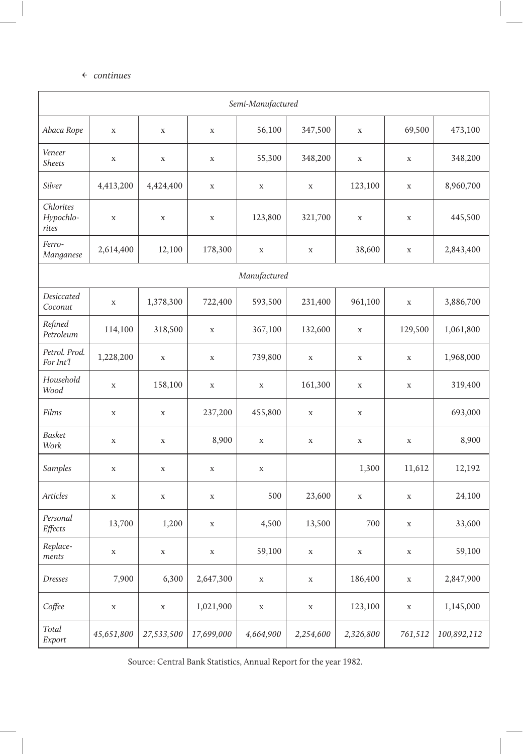### ← continues

| Semi-Manufactured               |             |             |             |                                  |             |             |             |             |  |
|---------------------------------|-------------|-------------|-------------|----------------------------------|-------------|-------------|-------------|-------------|--|
| Abaca Rope                      | $\mathbf X$ | $\mathbf X$ | $\mathbf X$ | 56,100<br>347,500<br>$\mathbf X$ |             | 69,500      | 473,100     |             |  |
| Veneer<br><b>Sheets</b>         | $\mathbf x$ | $\mathbf X$ | $\mathbf X$ | 55,300                           | 348,200     | $\mathbf X$ | $\mathbf X$ | 348,200     |  |
| Silver                          | 4,413,200   | 4,424,400   | $\mathbf X$ | $\mathbf X$                      | $\mathbf X$ | 123,100     | $\mathbf X$ | 8,960,700   |  |
| Chlorites<br>Hypochlo-<br>rites | $\mathbf X$ | $\mathbf X$ | $\mathbf X$ | 123,800                          | 321,700     | $\mathbf X$ | $\mathbf X$ | 445,500     |  |
| Ferro-<br>Manganese             | 2,614,400   | 12,100      | 178,300     | $\mathbf X$                      | $\mathbf X$ | 38,600      | $\mathbf X$ | 2,843,400   |  |
|                                 |             |             |             | Manufactured                     |             |             |             |             |  |
| Desiccated<br>Coconut           | $\mathbf x$ | 1,378,300   | 722,400     | 593,500                          | 231,400     | 961,100     | $\mathbf X$ | 3,886,700   |  |
| Refined<br>Petroleum            | 114,100     | 318,500     | $\mathbf X$ | 367,100                          | 132,600     | $\mathbf X$ | 129,500     | 1,061,800   |  |
| Petrol. Prod.<br>For Int'l      | 1,228,200   | $\mathbf X$ | $\mathbf X$ | 739,800                          | $\mathbf X$ | $\mathbf X$ | $\mathbf X$ | 1,968,000   |  |
| Household<br>Wood               | $\mathbf X$ | 158,100     | $\mathbf X$ | $\mathbf X$                      | 161,300     | $\mathbf X$ | $\mathbf X$ | 319,400     |  |
| Films                           | $\mathbf X$ | $\mathbf X$ | 237,200     | 455,800                          | $\mathbf X$ | $\mathbf X$ |             | 693,000     |  |
| <b>Basket</b><br>Work           | $\mathbf x$ | $\mathbf X$ | 8,900       | $\mathbf X$                      | $\mathbf X$ | $\mathbf X$ | $\mathbf X$ | 8,900       |  |
| Samples                         | $\mathbf x$ | $\mathbf X$ | $\mathbf X$ | $\mathbf X$                      |             | 1,300       | 11,612      | 12,192      |  |
| <b>Articles</b>                 | $\mathbf X$ | $\mathbf X$ | $\mathbf X$ | 500                              | 23,600      | $\mathbf X$ | $\mathbf X$ | 24,100      |  |
| Personal<br>Effects             | 13,700      | 1,200       | $\mathbf X$ | 4,500                            | 13,500      | 700         | $\mathbf X$ | 33,600      |  |
| Replace-<br>ments               | $\mathbf X$ | $\mathbf X$ | $\mathbf X$ | 59,100                           | $\mathbf X$ | $\mathbf X$ | $\mathbf X$ | 59,100      |  |
| Dresses                         | 7,900       | 6,300       | 2,647,300   | $\mathbf X$                      | $\mathbf X$ | 186,400     | $\mathbf X$ | 2,847,900   |  |
| Coffee                          | $\mathbf X$ | $\mathbf X$ | 1,021,900   | X                                | $\mathbf X$ | 123,100     | $\mathbf X$ | 1,145,000   |  |
| Total<br>Export                 | 45,651,800  | 27,533,500  | 17,699,000  | 4,664,900                        | 2,254,600   | 2,326,800   | 761,512     | 100,892,112 |  |

Source: Central Bank Statistics, Annual Report for the year 1982.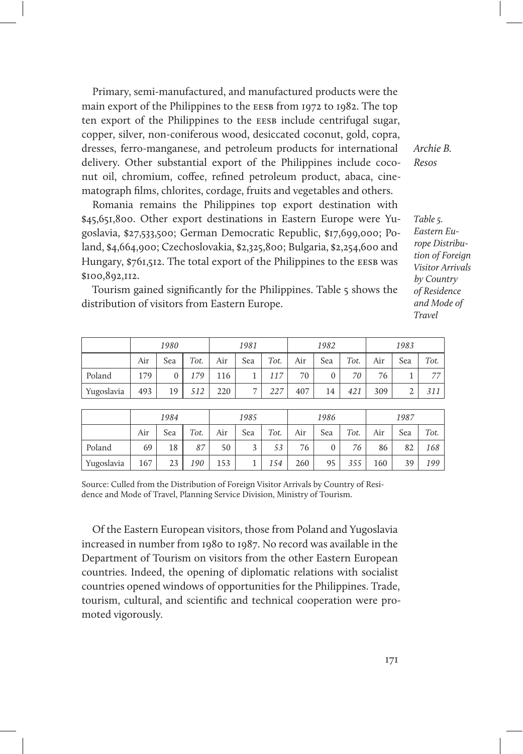Primary, semi-manufactured, and manufactured products were the main export of the Philippines to the eesb from 1972 to 1982. The top ten export of the Philippines to the EESB include centrifugal sugar, copper, silver, non-coniferous wood, desiccated coconut, gold, copra, dresses, ferro-manganese, and petroleum products for international delivery. Other substantial export of the Philippines include coconut oil, chromium, coffee, refined petroleum product, abaca, cinematograph films, chlorites, cordage, fruits and vegetables and others.

Romania remains the Philippines top export destination with \$45,651,800. Other export destinations in Eastern Europe were Yugoslavia, \$27,533,500; German Democratic Republic, \$17,699,000; Poland, \$4,664,900; Czechoslovakia, \$2,325,800; Bulgaria, \$2,254,600 and Hungary, \$761,512. The total export of the Philippines to the EESB was \$100,892,112.

Tourism gained significantly for the Philippines. Table 5 shows the distribution of visitors from Eastern Europe.

|            | 1980 |     | 1981 |     |                | 1982 |     |     | 1983 |     |     |      |
|------------|------|-----|------|-----|----------------|------|-----|-----|------|-----|-----|------|
|            | Air  | Sea | Tot. | Air | Sea            | Tot. | Air | Sea | Tot. | Air | Sea | Tot. |
| Poland     | 179  |     | 179  | 116 |                | 117  | 70  |     | 70   | 76  |     | 77   |
| Yugoslavia | 493  | 19  | 512  | 220 | $\overline{ }$ | 227  | 407 | 14  | 421  | 309 |     | 311  |

|            | 1984 |     | 1985 |     |                         | 1986 |     |     | 1987 |     |     |      |
|------------|------|-----|------|-----|-------------------------|------|-----|-----|------|-----|-----|------|
|            | Air  | Sea | Tot. | Air | Sea                     | Tot. | Air | Sea | Tot. | Air | Sea | Tot. |
| Poland     | 69   | 18  | 87   | 50  | $\overline{\mathbf{c}}$ | 53   | 76  |     | 76   | 86  | 82  | 168  |
| Yugoslavia | 167  | 23  | 190  | 153 |                         | 154  | 260 | 95  | 355  | 160 | 39  | 199  |

Source: Culled from the Distribution of Foreign Visitor Arrivals by Country of Residence and Mode of Travel, Planning Service Division, Ministry of Tourism.

Of the Eastern European visitors, those from Poland and Yugoslavia increased in number from 1980 to 1987. No record was available in the Department of Tourism on visitors from the other Eastern European countries. Indeed, the opening of diplomatic relations with socialist countries opened windows of opportunities for the Philippines. Trade, tourism, cultural, and scientific and technical cooperation were promoted vigorously.

Archie B. Resos

Table 5. Eastern Europe Distribution of Foreian Visitor Arrivals by Country of Residence and Mode of Travel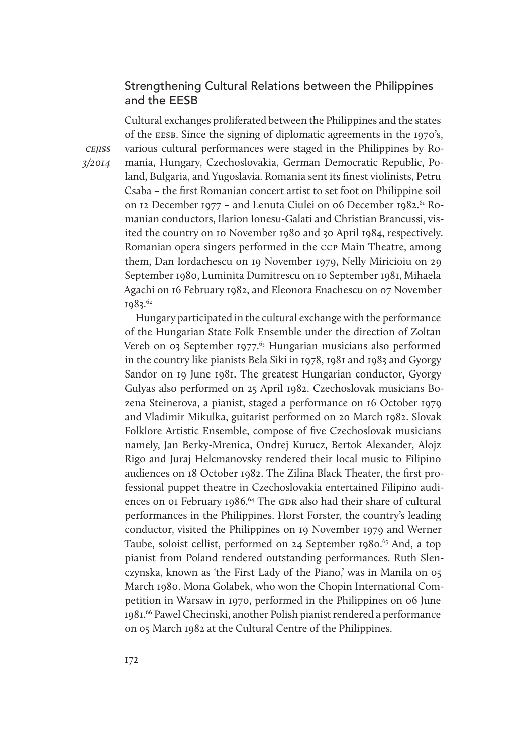# Strengthening Cultural Relations between the Philippines and the EESB

Cultural exchanges proliferated between the Philippines and the states of the eesb. Since the signing of diplomatic agreements in the 1970's, various cultural performances were staged in the Philippines by Romania, Hungary, Czechoslovakia, German Democratic Republic, Poland, Bulgaria, and Yugoslavia. Romania sent its finest violinists, Petru Csaba – the first Romanian concert artist to set foot on Philippine soil on 12 December 1977 – and Lenuta Ciulei on 06 December 1982.<sup>61</sup> Romanian conductors, Ilarion Ionesu-Galati and Christian Brancussi, visited the country on 10 November 1980 and 30 April 1984, respectively. Romanian opera singers performed in the ccp Main Theatre, among them, Dan Iordachescu on 19 November 1979, Nelly Miricioiu on 29 September 1980, Luminita Dumitrescu on 10 September 1981, Mihaela Agachi on 16 February 1982, and Eleonora Enachescu on 07 November 1983.62

Hungary participated in the cultural exchange with the performance of the Hungarian State Folk Ensemble under the direction of Zoltan Vereb on 03 September 1977.<sup>63</sup> Hungarian musicians also performed in the country like pianists Bela Siki in 1978, 1981 and 1983 and Gyorgy Sandor on 19 June 1981. The greatest Hungarian conductor, Gyorgy Gulyas also performed on 25 April 1982. Czechoslovak musicians Bozena Steinerova, a pianist, staged a performance on 16 October 1979 and Vladimir Mikulka, guitarist performed on 20 March 1982. Slovak Folklore Artistic Ensemble, compose of five Czechoslovak musicians namely, Jan Berky-Mrenica, Ondrej Kurucz, Bertok Alexander, Alojz Rigo and Juraj Helcmanovsky rendered their local music to Filipino audiences on 18 October 1982. The Zilina Black Theater, the first professional puppet theatre in Czechoslovakia entertained Filipino audiences on 01 February 1986.<sup>64</sup> The GDR also had their share of cultural performances in the Philippines. Horst Forster, the country's leading conductor, visited the Philippines on 19 November 1979 and Werner Taube, soloist cellist, performed on 24 September 1980.<sup>65</sup> And, a top pianist from Poland rendered outstanding performances. Ruth Slenczynska, known as 'the First Lady of the Piano,' was in Manila on 05 March 1980. Mona Golabek, who won the Chopin International Competition in Warsaw in 1970, performed in the Philippines on 06 June 1981.66 Pawel Checinski, another Polish pianist rendered a performance on 05 March 1982 at the Cultural Centre of the Philippines.

**CEIISS** 3/2014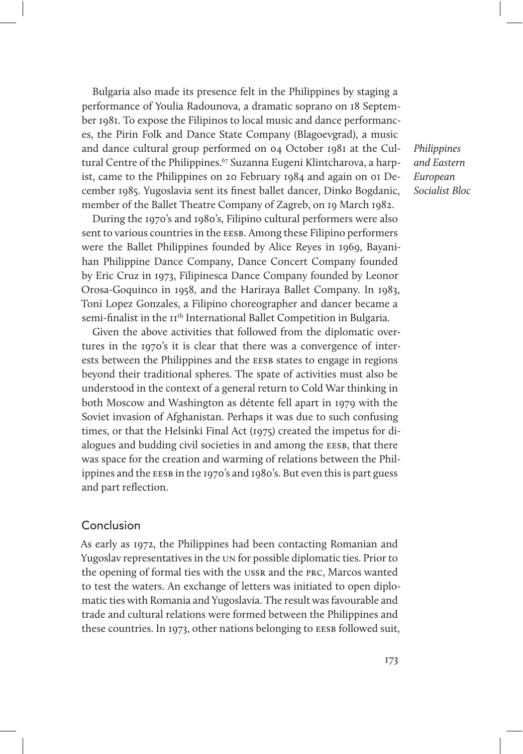Bulgaria also made its presence felt in the Philippines by staging a performance of Youlia Radounova, a dramatic soprano on 18 September 1981. To expose the Filipinos to local music and dance performances, the Pirin Folk and Dance State Company (Blagoevgrad), a music and dance cultural group performed on 04 October 1981 at the Cultural Centre of the Philippines.<sup>67</sup> Suzanna Eugeni Klintcharova, a harpist, came to the Philippines on 20 February 1984 and again on 01 December 1985. Yugoslavia sent its finest ballet dancer, Dinko Bogdanic, member of the Ballet Theatre Company of Zagreb, on 19 March 1982.

During the 1970's and 1980's, Filipino cultural performers were also sent to various countries in the EESB. Among these Filipino performers were the Ballet Philippines founded by Alice Reyes in 1969, Bayanihan Philippine Dance Company, Dance Concert Company founded by Eric Cruz in 1973, Filipinesca Dance Company founded by Leonor Orosa-Goquinco in 1958, and the Hariraya Ballet Company. In 1983, Toni Lopez Gonzales, a Filipino choreographer and dancer became a semi-finalist in the 11<sup>th</sup> International Ballet Competition in Bulgaria.

Given the above activities that followed from the diplomatic overtures in the 1970's it is clear that there was a convergence of interests between the Philippines and the EESB states to engage in regions beyond their traditional spheres. The spate of activities must also be understood in the context of a general return to Cold War thinking in both Moscow and Washington as détente fell apart in 1979 with the Soviet invasion of Afghanistan. Perhaps it was due to such confusing times, or that the Helsinki Final Act (1975) created the impetus for dialogues and budding civil societies in and among the EESB, that there was space for the creation and warming of relations between the Philippines and the EESB in the 1970's and 1980's. But even this is part guess and part reflection.

## Conclusion

As early as 1972, the Philippines had been contacting Romanian and Yugoslav representatives in the un for possible diplomatic ties. Prior to the opening of formal ties with the ussr and the prc, Marcos wanted to test the waters. An exchange of letters was initiated to open diplomatic ties with Romania and Yugoslavia. The result was favourable and trade and cultural relations were formed between the Philippines and these countries. In 1973, other nations belonging to EESB followed suit, Philippines and Eastern European Socialist Bloc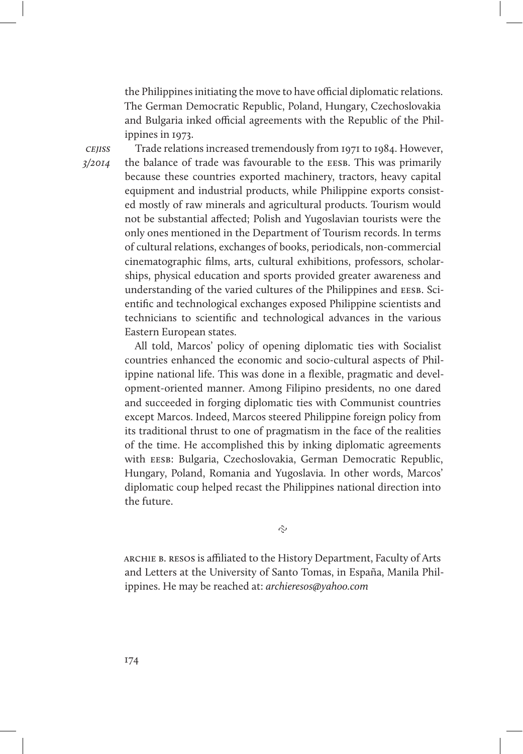the Philippines initiating the move to have official diplomatic relations. The German Democratic Republic, Poland, Hungary, Czechoslovakia and Bulgaria inked official agreements with the Republic of the Philippines in 1973.

**CEIISS** 3/2014

Trade relations increased tremendously from 1971 to 1984. However, the balance of trade was favourable to the EESB. This was primarily because these countries exported machinery, tractors, heavy capital equipment and industrial products, while Philippine exports consisted mostly of raw minerals and agricultural products. Tourism would not be substantial affected; Polish and Yugoslavian tourists were the only ones mentioned in the Department of Tourism records. In terms of cultural relations, exchanges of books, periodicals, non-commercial cinematographic films, arts, cultural exhibitions, professors, scholarships, physical education and sports provided greater awareness and understanding of the varied cultures of the Philippines and EESB. Scientific and technological exchanges exposed Philippine scientists and technicians to scientific and technological advances in the various Eastern European states.

All told, Marcos' policy of opening diplomatic ties with Socialist countries enhanced the economic and socio-cultural aspects of Philippine national life. This was done in a flexible, pragmatic and development-oriented manner. Among Filipino presidents, no one dared and succeeded in forging diplomatic ties with Communist countries except Marcos. Indeed, Marcos steered Philippine foreign policy from its traditional thrust to one of pragmatism in the face of the realities of the time. He accomplished this by inking diplomatic agreements with EESB: Bulgaria, Czechoslovakia, German Democratic Republic, Hungary, Poland, Romania and Yugoslavia. In other words, Marcos' diplomatic coup helped recast the Philippines national direction into the future.

 $\tilde{\sim}$ 

archie b. resos is afliated to the History Department, Faculty of Arts and Letters at the University of Santo Tomas, in España, Manila Philippines. He may be reached at: archieresos@yahoo.com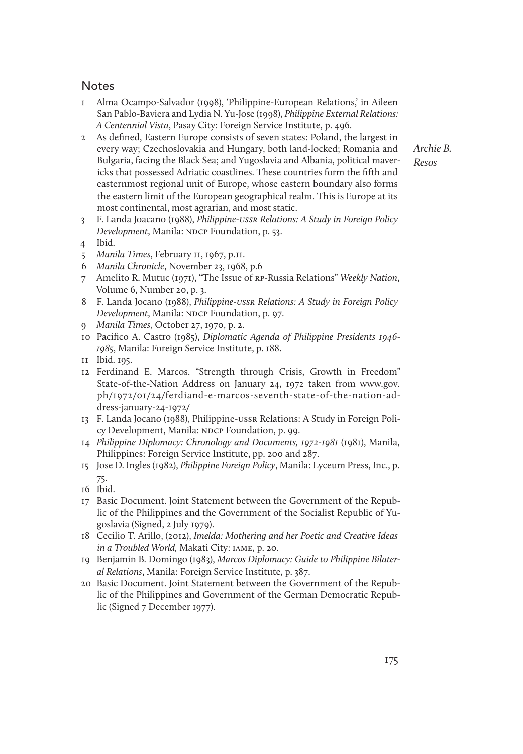# Notes

- 1 Alma Ocampo-Salvador (1998), 'Philippine-European Relations,' in Aileen San Pablo-Baviera and Lydia N. Yu-Jose (1998), Philippine External Relations: A Centennial Vista, Pasay City: Foreign Service Institute, p. 496.
- 2 As defined, Eastern Europe consists of seven states: Poland, the largest in every way; Czechoslovakia and Hungary, both land-locked; Romania and Bulgaria, facing the Black Sea; and Yugoslavia and Albania, political mavericks that possessed Adriatic coastlines. These countries form the fifth and easternmost regional unit of Europe, whose eastern boundary also forms the eastern limit of the European geographical realm. This is Europe at its most continental, most agrarian, and most static.
- 3 F. Landa Joacano (1988), Philippine-ussr Relations: A Study in Foreign Policy Development, Manila: NDCP Foundation, p. 53.
- 4 Ibid.
- 5 Manila Times, February 11, 1967, p.11.
- Manila Chronicle, November 23, 1968, p.6
- 7 Amelito R. Mutuc (1971), "The Issue of rp-Russia Relations" Weekly Nation, Volume 6, Number 20, p. 3.
- 8 F. Landa Jocano (1988), Philippine-ussr Relations: A Study in Foreign Policy Development, Manila: NDCP Foundation, p. 97.
- 9 Manila Times, October 27, 1970, p. 2.
- 10 Pacifico A. Castro (1985), Diplomatic Agenda of Philippine Presidents 1946- 1985, Manila: Foreign Service Institute, p. 188.
- 11 Ibid. 195.
- 12 Ferdinand E. Marcos. "Strength through Crisis, Growth in Freedom" State-of-the-Nation Address on January 24, 1972 taken from www.gov. ph/1972/01/24/ferdiand-e-marcos-seventh-state-of-the-nation-address-january-24-1972/
- 13 F. Landa Jocano (1988), Philippine-ussr Relations: A Study in Foreign Policy Development, Manila: NDCP Foundation, p. 99.
- 14 Philippine Diplomacy: Chronology and Documents, 1972-1981 (1981), Manila, Philippines: Foreign Service Institute, pp. 200 and 287.
- 15 Jose D. Ingles (1982), Philippine Foreign Policy, Manila: Lyceum Press, Inc., p. 75.
- 16 Ibid.
- 17 Basic Document. Joint Statement between the Government of the Republic of the Philippines and the Government of the Socialist Republic of Yugoslavia (Signed, 2 July 1979).
- 18 Cecilio T. Arillo, (2012), Imelda: Mothering and her Poetic and Creative Ideas in a Troubled World, Makati City: iame, p. 20.
- 19 Benjamin B. Domingo (1983), Marcos Diplomacy: Guide to Philippine Bilateral Relations, Manila: Foreign Service Institute, p. 387.
- 20 Basic Document. Joint Statement between the Government of the Republic of the Philippines and Government of the German Democratic Republic (Signed 7 December 1977).

Archie B. Resos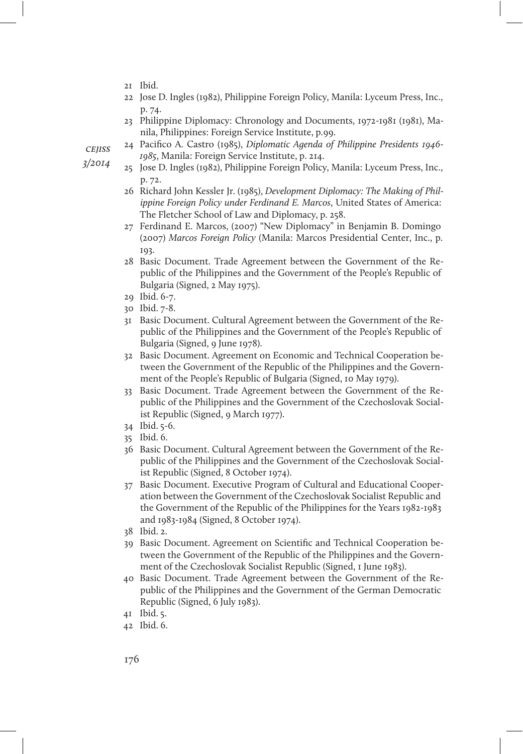- 21 Ibid.
- 22 Jose D. Ingles (1982), Philippine Foreign Policy, Manila: Lyceum Press, Inc., p. 74.
- 23 Philippine Diplomacy: Chronology and Documents, 1972-1981 (1981), Manila, Philippines: Foreign Service Institute, p.99.

**CEIISS** 

- 3/2014
- 24 Pacifico A. Castro (1985), Diplomatic Agenda of Philippine Presidents 1946- 1985, Manila: Foreign Service Institute, p. 214.
- 25 Jose D. Ingles (1982), Philippine Foreign Policy, Manila: Lyceum Press, Inc., p. 72.
- 26 Richard John Kessler Jr. (1985), Development Diplomacy: The Making of Philippine Foreign Policy under Ferdinand E. Marcos, United States of America: The Fletcher School of Law and Diplomacy, p. 258.
- 27 Ferdinand E. Marcos, (2007) "New Diplomacy" in Benjamin B. Domingo (2007) Marcos Foreign Policy (Manila: Marcos Presidential Center, Inc., p. 193.
- 28 Basic Document. Trade Agreement between the Government of the Republic of the Philippines and the Government of the People's Republic of Bulgaria (Signed, 2 May 1975).
- 29 Ibid. 6-7.
- 30 Ibid. 7-8.
- 31 Basic Document. Cultural Agreement between the Government of the Republic of the Philippines and the Government of the People's Republic of Bulgaria (Signed, 9 June 1978).
- 32 Basic Document. Agreement on Economic and Technical Cooperation between the Government of the Republic of the Philippines and the Government of the People's Republic of Bulgaria (Signed, 10 May 1979).
- 33 Basic Document. Trade Agreement between the Government of the Republic of the Philippines and the Government of the Czechoslovak Socialist Republic (Signed, 9 March 1977).
- 34 Ibid. 5-6.
- 35 Ibid. 6.
- 36 Basic Document. Cultural Agreement between the Government of the Republic of the Philippines and the Government of the Czechoslovak Socialist Republic (Signed, 8 October 1974).
- 37 Basic Document. Executive Program of Cultural and Educational Cooperation between the Government of the Czechoslovak Socialist Republic and the Government of the Republic of the Philippines for the Years 1982-1983 and 1983-1984 (Signed, 8 October 1974).
- 38 Ibid. 2.
- 39 Basic Document. Agreement on Scientific and Technical Cooperation between the Government of the Republic of the Philippines and the Government of the Czechoslovak Socialist Republic (Signed, 1 June 1983).
- 40 Basic Document. Trade Agreement between the Government of the Republic of the Philippines and the Government of the German Democratic Republic (Signed, 6 July 1983).
- 41 Ibid. 5.
- 42 Ibid. 6.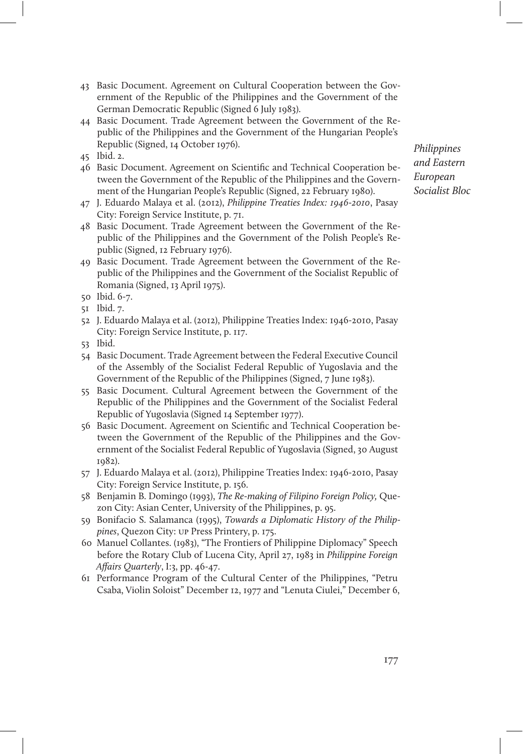- 43 Basic Document. Agreement on Cultural Cooperation between the Government of the Republic of the Philippines and the Government of the German Democratic Republic (Signed 6 July 1983).
- 44 Basic Document. Trade Agreement between the Government of the Republic of the Philippines and the Government of the Hungarian People's Republic (Signed, 14 October 1976).
- 45 Ibid. 2.
- 46 Basic Document. Agreement on Scientific and Technical Cooperation between the Government of the Republic of the Philippines and the Government of the Hungarian People's Republic (Signed, 22 February 1980).
- 47 J. Eduardo Malaya et al. (2012), Philippine Treaties Index: 1946-2010, Pasay City: Foreign Service Institute, p. 71.
- 48 Basic Document. Trade Agreement between the Government of the Republic of the Philippines and the Government of the Polish People's Republic (Signed, 12 February 1976).
- 49 Basic Document. Trade Agreement between the Government of the Republic of the Philippines and the Government of the Socialist Republic of Romania (Signed, 13 April 1975).
- 50 Ibid. 6-7.
- 51 Ibid. 7.
- 52 J. Eduardo Malaya et al. (2012), Philippine Treaties Index: 1946-2010, Pasay City: Foreign Service Institute, p. 117.
- 53 Ibid.
- 54 Basic Document. Trade Agreement between the Federal Executive Council of the Assembly of the Socialist Federal Republic of Yugoslavia and the Government of the Republic of the Philippines (Signed, 7 June 1983).
- 55 Basic Document. Cultural Agreement between the Government of the Republic of the Philippines and the Government of the Socialist Federal Republic of Yugoslavia (Signed 14 September 1977).
- 56 Basic Document. Agreement on Scientific and Technical Cooperation between the Government of the Republic of the Philippines and the Government of the Socialist Federal Republic of Yugoslavia (Signed, 30 August 1982).
- 57 J. Eduardo Malaya et al. (2012), Philippine Treaties Index: 1946-2010, Pasay City: Foreign Service Institute, p. 156.
- 58 Benjamin B. Domingo (1993), The Re-making of Filipino Foreign Policy, Quezon City: Asian Center, University of the Philippines, p. 95.
- 59 Bonifacio S. Salamanca (1995), Towards a Diplomatic History of the Philippines, Quezon City: up Press Printery, p. 175.
- 60 Manuel Collantes. (1983), "The Frontiers of Philippine Diplomacy" Speech before the Rotary Club of Lucena City, April 27, 1983 in Philippine Foreign Affairs Quarterly, I:3, pp. 46-47.
- 61 Performance Program of the Cultural Center of the Philippines, "Petru Csaba, Violin Soloist" December 12, 1977 and "Lenuta Ciulei," December 6,

Philippines and Eastern European Socialist Bloc